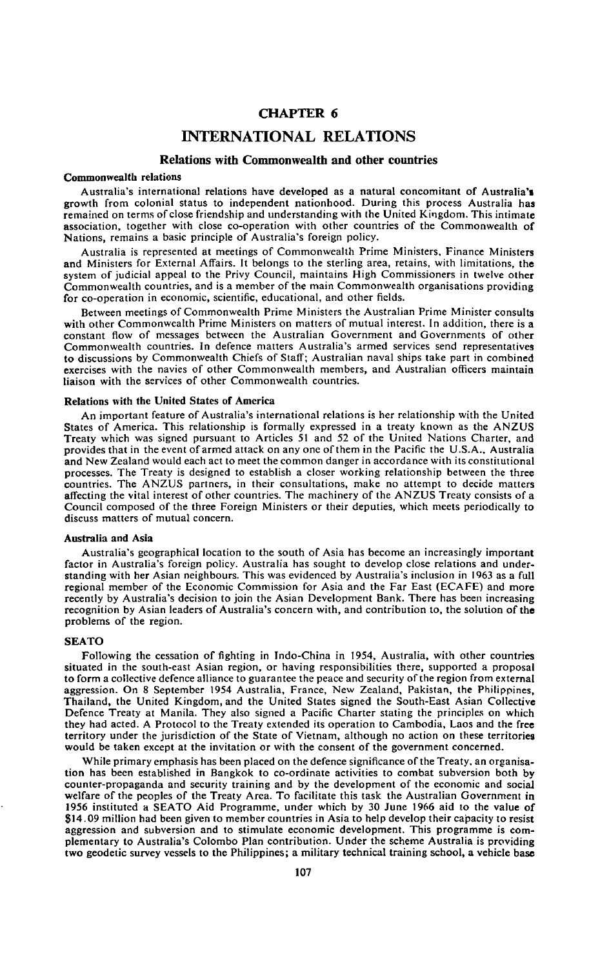# **CHAPTER 6**

# **INTERNATIONAL RELATIONS**

## **Relations with Commonwealth and other countries**

#### Commonwealth relations

Australia's international relations have developed as a natural concomitant of Australia's growth from colonial status to independent nationhood. During this process Australia has remained on terms of close friendship and understanding with the United Kingdom. This intimate association, together with close co-operation with other countries of the Commonwealth of Nations, remains a basic principle of Australia's foreign policy.

Australia is represented at meetings of Commonwealth Prime Ministers, Finance Ministers and Ministers for External Affairs. It belongs to the sterling area, retains, with limitations, the system of judicial appeal to the Privy Council, maintains High Commissioners in twelve other Commonwealth countries, and is a member of the main Commonwealth organisations providing for co-operation in economic, scientific, educational, and other fields.

Between meetings of Commonwealth Prime Ministers the Australian Prime Minister consults with other Commonwealth Prime Ministers on matters of mutual interest. In addition, there is a constant flow of messages between the Australian Government and Governments of other Commonwealth countries. In defence matters Australia's armed services send representatives to discussions by Commonwealth Chiefs of Staff; Australian naval ships take part in combined exercises with the navies of other Commonwealth members, and Australian officers maintain liaison with the services of other Commonwealth countries.

#### **Relations with the United States of America**

An important feature of Australia's international relations is her relationship with the United States of America. This relationship is formally expressed in a treaty known as the ANZUS Treaty which was signed pursuant to Articles 51 and 52 of the United Nations Charter, and provides that in the event of armed attack on any one of them in the Pacific the U.S.A., Australia and New Zealand would each act to meet the common danger in accordance with its constitutional processes. The Treaty is designed to establish a closer working relationship between the three countries. The ANZUS partners, in their consultations, make no attempt to decide matters affecting the vital interest of other countries. The machinery of the ANZUS Treaty consists of a Council composed of the three Foreign Ministers or their deputies, which meets periodically to discuss matters of mutual concern.

#### **Australia and Asia**

Australia's geographical location to the south of Asia has become an increasingly important factor in Australia's foreign policy. Australia has sought to develop close relations and understanding with her Asian neighbours. This was evidenced by Australia's inclusion in 1963 as a full regional member of the Economic Commission for Asia and the Far East (ECAFE) and more recently by Australia's decision to join the Asian Development Bank. There has been increasing recognition by Asian leaders of Australia's concern with, and contribution to, the solution of the problems of the region.

#### **SEATO**

Following the cessation of fighting in Indo-China in 1954, Australia, with other countries situated in the south-east Asian region, or having responsibilities there, supported a proposal to form a collective defence alliance to guarantee the peace and security of the region from external aggression. On 8 September 1954 Australia, France, New Zealand, Pakistan, the Philippines, Thailand, the United Kingdom, and the United States signed the South-East Asian Collective Defence Treaty at Manila. They also signed a Pacific Charter stating the principles on which they had acted. A Protocol to the Treaty extended its operation to Cambodia, Laos and the free territory under the jurisdiction of the State of Vietnam, although no action on these territories would be taken except at the invitation or with the consent of the government concerned.

While primary emphasis has been placed on the defence significance of the Treaty, an organisation has been established in Bangkok to co-ordinate activities to combat subversion both by counter-propaganda and security training and by the development of the economic and social welfare of the peoples of the Treaty Area. To facilitate this task the Australian Government in 1956 instituted a SEATO Aid Programme, under which by 30 June 1966 aid to the value of \$14.09 million had been given to member countries in Asia to help develop their capacity to resist aggression and subversion and to stimulate economic development. This programme is complementary to Australia's Colombo Plan contribution. Under the scheme Australia is providing two geodetic survey vessels to the Philippines; a military technical training school, a vehicle base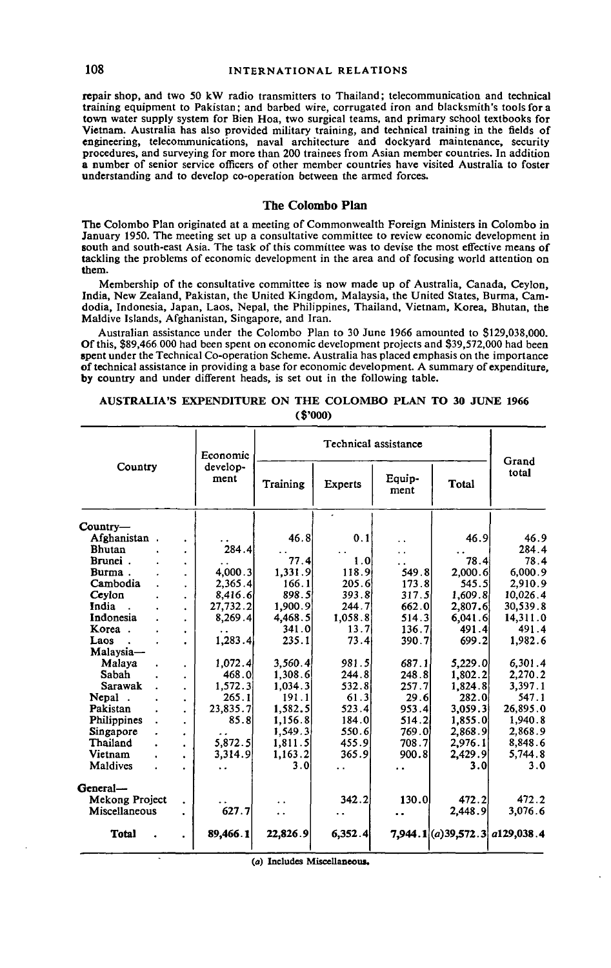repair shop, and two 50 kW radio transmitters to Thailand; telecommunication and technical training equipment to Pakistan; and barbed wire, corrugated iron and blacksmith's tools for a town water supply system for Bien Hoa, two surgical teams, and primary school textbooks for Vietnam. Australia has also provided military training, and technical training in the fields of engineering, telecommunications, naval architecture and dockyard maintenance, security procedures, and surveying for more than 200 trainees from Asian member countries. In addition a number of senior service officers of other member countries have visited Australia to foster understanding and to develop co-operation between the armed forces.

# **The Colombo Plan**

The Colombo Plan originated at a meeting of Commonwealth Foreign Ministers in Colombo in January 1950. The meeting set up a consultative committee to review economic development in south and south-east Asia. The task of this committee was to devise the most effective means of tackling the problems of economic development in the area and of focusing world attention on them.

Membership of the consultative committee is now made up of Australia, Canada, Ceylon, India, New Zealand, Pakistan, the United Kingdom, Malaysia, the United States, Burma, Camdodia, Indonesia, Japan, Laos, Nepal, the Philippines, Thailand, Vietnam, Korea, Bhutan, the Maldive Islands, Afghanistan, Singapore, and Iran.

Australian assistance under the Colombo Plan to 30 June 1966 amounted to \$129,038,000. Of this, \$89,466 000 had been spent on economic development projects and \$39,572,000 had been spent under the Technical Co-operation Scheme. Australia has placed emphasis on the importance of technical assistance in providing a base for economic development. A summary of expenditure, by country and under different heads, is set out in the following table.

| Country               |                      | Economic             | Technical assistance |                |                |         |                                     |
|-----------------------|----------------------|----------------------|----------------------|----------------|----------------|---------|-------------------------------------|
|                       |                      | develop-<br>ment     | Training             | <b>Experts</b> | Equip-<br>ment | Total   | Grand<br>total                      |
| $Country-$            |                      |                      |                      | ٠              |                |         |                                     |
| Afghanistan.          |                      |                      | 46.8                 | 0.1            | . .            | 46.9    | 46.9                                |
| <b>Bhutan</b>         |                      | 284.4                |                      |                | ο,             |         | 284.4                               |
| Brunei.               | $\bullet$            |                      | 77.4                 | 1.0            | . .            | 78.4    | 78.4                                |
| Burma.                | $\ddot{\phantom{a}}$ | 4.000.3              | 1.331.9              | 118.9          | 549.8          | 2,000.6 | 6,000.9                             |
| Cambodia              | $\cdot$              | 2,365.4              | 166.1                | 205.6          | 173.8          | 545.5   | 2.910.9                             |
| Ceylon                | $\bullet$            | 8,416.6              | 898.5                | 393.8          | 317.5          | 1,609.8 | 10,026.4                            |
| India                 | $\bullet$            | 27,732.2             | 1,900.9              | 244.7          | 662.0          | 2,807.6 | 30,539.8                            |
| Indonesia             | $\ddot{\phantom{0}}$ | 8,269.4              | 4,468.5              | 1.058.8        | 514.3          | 6.041.6 | 14,311.0                            |
| Когеа.                | $\bullet$            |                      | 341.0                | 13.7           | 136.7          | 491.4   | 491.4                               |
| Laos                  |                      | 1,283.4              | 235.1                | 73.4           | 390.7          | 699.2   | 1.982.6                             |
| Malaysia—             |                      |                      |                      |                |                |         |                                     |
| Malaya                |                      | 1,072.4              | 3,560.4              | 981.5          | 687.1          | 5,229.0 | 6,301.4                             |
| Sabah                 |                      | 468.0                | 1.308.6              | 244.8          | 248.8          | 1,802.2 | 2.270.2                             |
| Sarawak               | $\bullet$            | 1,572.3              | 1.034.3              | 532.8          | 257.7          | 1,824.8 | 3,397.1                             |
| Nepal.                |                      | 265.1                | 191.1                | 61.3           | 29.6           | 282.0   | 547.1                               |
| Pakistan              | $\ddot{\phantom{a}}$ | 23,835.7             | 1,582.5              | 523.4          | 953.4          | 3,059.3 | 26,895.0                            |
| <b>Philippines</b>    | $\ddot{\phantom{a}}$ | 85.8                 | 1,156.8              | 184.0          | 514.2          | 1.855.0 | 1,940.8                             |
| Singapore             | ٠                    | $\ddot{\phantom{0}}$ | 1.549.3              | 550.6          | 769.0          | 2.868.9 | 2,868.9                             |
| Thailand              | $\bullet$            | 5,872.5              | 1,811.5              | 455.9          | 708.7          | 2,976.1 | 8,848.6                             |
| Vietnam               | ٠                    | 3,314.9              | 1,163.2              | 365.9          | 900.8          | 2,429.9 | 5,744.8                             |
| Maldives              |                      | . .                  | 3.0                  |                |                | 3.0     | 3.0                                 |
| General-              |                      |                      |                      |                |                |         |                                     |
| <b>Mekong Project</b> |                      |                      |                      | 342.2          | 130.0          | 472.2   | 472.2                               |
| Miscellaneous         |                      | 627.7                | . .                  |                | . .            | 2,448.9 | 3,076.6                             |
| <b>Total</b>          |                      | 89,466.1             | 22,826.9             | 6,352.4        |                |         | $7,944.1$ $(a) 39,572.3$ a129,038.4 |

**AUSTRALIA'S EXPENDITURE ON THE COLOMBO PLAN TO 30 JUNE 1966** (\$'000)

**(a) Includes Miscellaneous.**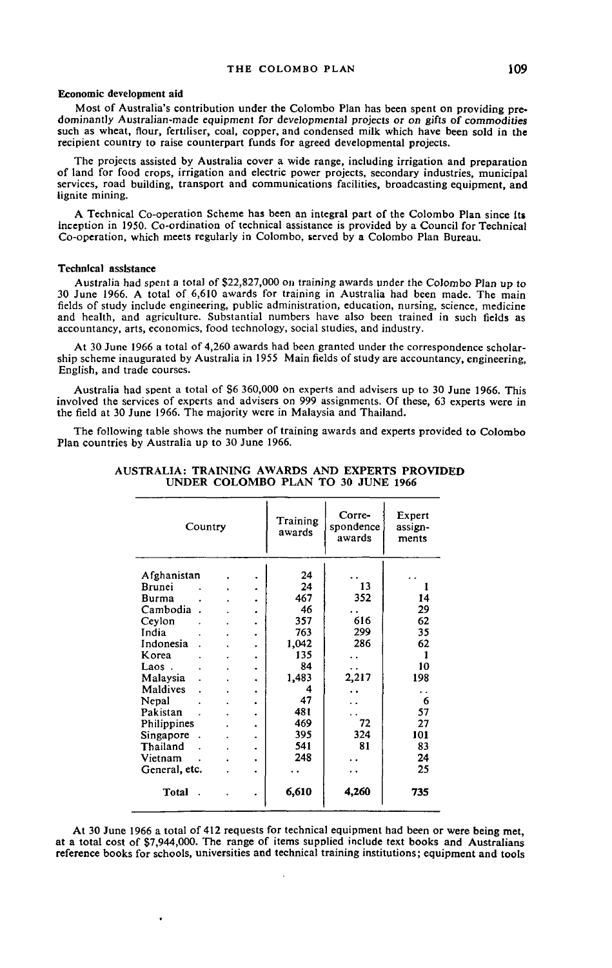#### **Economic development aid**

Most of Australia's contribution under the Colombo Plan has been spent on providing predominantly Australian-made equipment for developmental projects or on gifts of commodities such as wheat, flour, fertiliser, coal, copper, and condensed milk which have been sold in the recipient country to raise counterpart funds for agreed developmental projects.

The projects assisted by Australia cover a wide range, including irrigation and preparation of land for food crops, irrigation and electric power projects, secondary industries, municipal services, road building, transport and communications facilities, broadcasting equipment, and lignite mining.

A Technical Co-operation Scheme has been an integral part of the Colombo Plan since Its inception in 1950. Co-ordination of technical assistance is provided by a Council for Technical Co-operation, which meets regularly in Colombo, served by a Colombo Plan Bureau.

#### **Technical assistance**

Australia had spent a total of \$22,827,000 on training awards under the Colombo Plan up to 30 June 1966. A total of 6,610 awards for training in Australia had been made. The main fields of study include engineering, public administration, education, nursing, science, medicine and health, and agriculture. Substantial numbers have also been trained in such fields as accountancy, arts, economics, food technology, social studies, and industry.

At 30 June 1966 a total of 4,260 awards had been granted under the correspondence scholarship scheme inaugurated by Australia in 1955 Main fields of study are accountancy, engineering, English, and trade courses.

Australia had spent a total of \$6 360,000 on experts and advisers up to 30 June 1966. This involved the services of experts and advisers on 999 assignments. Of these, 63 experts were in the field at 30 June 1966. The majority were in Malaysia and Thailand.

The following table shows the number of training awards and experts provided to Colombo Plan countries by Australia up to 30 June 1966.

| Country       |  |  |   | Training<br>awards | Corre-<br>spondence<br>awards | Expert<br>assign-<br>ments |
|---------------|--|--|---|--------------------|-------------------------------|----------------------------|
| Afghanistan   |  |  |   | 24                 |                               |                            |
| Brunei        |  |  |   | 24                 | 13                            |                            |
| Burma         |  |  |   | 467                | 352                           | 14                         |
| Cambodia      |  |  |   | 46                 |                               | 29                         |
| Ceylon        |  |  | ٠ | 357                | 616                           | 62                         |
| India         |  |  | ٠ | 763                | 299                           | 35                         |
| Indonesia     |  |  |   | 1,042              | 286                           | 62                         |
| K orea        |  |  |   | 135                |                               | 1                          |
| Laos.         |  |  | ٠ | 84                 | . .                           | 10                         |
| Malaysia      |  |  | ٠ | 1,483              | 2,217                         | 198                        |
| Maldives      |  |  |   | 4                  |                               |                            |
| Nepal         |  |  |   | 47                 |                               | 6                          |
| Pakistan      |  |  | ٠ | 481                |                               | 57                         |
| Philippines   |  |  | ٠ | 469                | 72                            | 27                         |
| Singapore     |  |  | ٠ | 395                | 324                           | 101                        |
| Thailand      |  |  | ٠ | 541                | 81                            | 83                         |
| Vietnam       |  |  | ٠ | 248                |                               | 24                         |
| General, etc. |  |  |   |                    |                               | 25                         |
|               |  |  | ۰ |                    |                               |                            |
| Total         |  |  | ٠ | 6,610              | 4,260                         | 735                        |

# **AUSTRALIA: TRAINING AWARDS AND EXPERTS PROVIDED UNDER COLOMBO PLAN TO 30 JUNE 1966**

At 30 June 1966 a total of 412 requests for technical equipment had been or were being met, at a total cost of \$7,944,000. The range of items supplied include text books and Australians reference books for schools, universities and technical training institutions; equipment and tools

 $\cdot$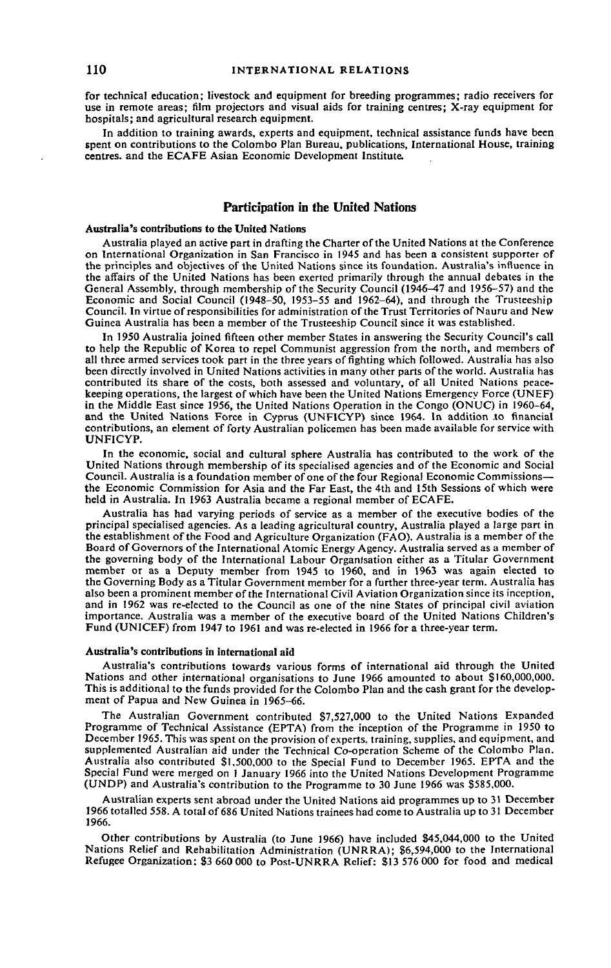for technical education; livestock and equipment for breeding programmes; radio receivers for use in remote areas; film projectors and visual aids for training centres; X-ray equipment for hospitals; and agricultural research equipment.

In addition to training awards, experts and equipment, technical assistance funds have been spent on contributions to the Colombo Plan Bureau, publications, International House, training centres, and the ECAFE Asian Economic Development Institute.

# **Participation in the United Nations**

#### **Australia's contributions to the United Nations**

Australia played an active part in drafting the Charter of the United Nations at the Conference on International Organization in San Francisco in 1945 and has been a consistent supporter of the principles and objectives of the United Nations since its foundation. Australia's influence in the affairs of the United Nations has been exerted primarily through the annual debates in the General Assembly, through membership of the Security Council (1946-47 and 1956-57) and the Economic and Social Council (1948-50, 1953-55 and 1962-64), and through the Trusteeship Council. In virtue of responsibilities for administration of the Trust Territories of Nauru and New Guinea Australia has been a member of the Trusteeship Council since it was established.

In 1950 Australia joined fifteen other member States in answering the Security Council's call to help the Republic of Korea to repel Communist aggression from the north, and members of all three armed services took part in the three years of fighting which followed. Australia has also been directly involved in United Nations activities in many other parts of the world. Australia has contributed its share of the costs, both assessed and voluntary, of all United Nations peacekeeping operations, the largest of which have been the United Nations Emergency Force (UNEF) in the Middle East since 1956, the United Nations Operation in the Congo (ONUC) in 1960-64, and the United Nations Force in Cyprus (UNFICYP) since 1964. In addition .to financial contributions, an element of forty Australian policemen has been made available for service with UNFICYP.

In the economic, social and cultural sphere Australia has contributed to the work of the United Nations through membership of its specialised agencies and of the Economic and Social Council. Australia is a foundation member of one of the four Regional Economic Commissions the Economic Commission for Asia and the Far East, the 4th and 15th Sessions of which were held in Australia. In 1963 Australia became a regional member of ECAFE.

Australia has had varying periods of service as a member of the executive bodies of the principal specialised agencies. As a leading agricultural country, Australia played a large part in the establishment of the Food and Agriculture Organization (FAO). Australia is a member of the Board of Governors of the International Atomic Energy Agency. Australia served as a member of the governing body of the International Labour Organisation either as a Titular Government member or as a Deputy member from 1945 to 1960, and in 1963 was again elected to the Governing Body as a Titular Government member for a further three-year term. Australia has also been a prominent member of the International Civil Aviation Organization since its inception, and in 1962 was re-elected to the Council as one of the nine States of principal civil aviation importance. Australia was a member of the executive board of the United Nations Children's Fund (UNICEF) from 1947 to 1961 and was re-elected in 1966 for a three-year term.

#### **Australia's contributions in international aid**

Australia's contributions towards various forms of international aid through the United Nations and other international organisations to June 1966 amounted to about \$160,000,000. This is additional to the funds provided for the Colombo Plan and the cash grant for the development of Papua and New Guinea in 1965-66.

The Australian Government contributed \$7,527,000 to the United Nations Expanded Programme of Technical Assistance (EPTA) from the inception of the Programme in 1950 to December 1965. This was spent on the provision of experts, training, supplies, and equipment, and supplemented Australian aid under the Technical Co-operation Scheme of the Colombo Plan. Australia also contributed \$1,500,000 to the Special Fund to December 1965. EPTA and the Special Fund were merged on 1 January 1966 into the United Nations Development Programme (UNDP) and Australia's contribution to the Programme to 30 June 1966 was \$585,000.

Australian experts sent abroad under the United Nations aid programmes up to 31 December 1966 totalled 558. A total of 686 United Nations trainees had come to Australia up to 31 December 1966.

Other contributions by Australia (to June 1966) have included \$45,044,000 to the United Nations Relief and Rehabilitation Administration (UNRRA); \$6,594,000 to the International Refugee Organization: S3 660 000 to Post-UNRRA Relief: S13 576 000 for food and medical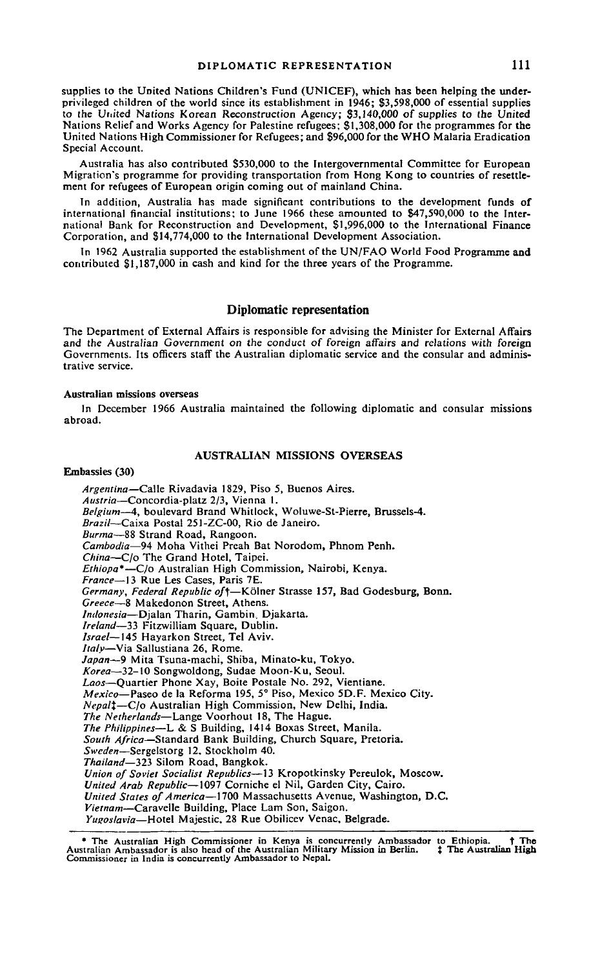supplies to the United Nations Children's Fund (UNICEF), which has been helping the underprivileged children of the world since its establishment in 1946; \$3,598,000 of essential supplies to the United Nations Korean Reconstruction Agency; \$3,140,000 of supplies to the United Nations Relief and Works Agency for Palestine refugees; \$1,308,000 for the programmes for the United Nations High Commissioner for Refugees; and \$96,000 for the WHO Malaria Eradication Special Account.

Australia has also contributed \$530,000 to the Intergovernmental Committee for European Migration's programme for providing transportation from Hong Kong to countries of resettlement for refugees of European origin coming out of mainland China.

In addition, Australia has made significant contributions to the development funds of international financial institutions; to June 1966 these amounted to \$47,590,000 to the International Bank for Reconstruction and Development, \$1,996,000 to the International Finance Corporation, and \$14,774,000 to the International Development Association.

In 1962 Australia supported the establishment of the UN/FAO World Food Programme and contributed \$1,187,000 in cash and kind for the three years of the Programme.

## **Diplomatic representation**

The Department of External Affairs is responsible for advising the Minister for External Affairs and the Australian Government on the conduct of foreign affairs and relations with foreign Governments. Its officers staff the Australian diplomatic service and the consular and administrative service.

### **Australian missions overseas**

In December 1966 Australia maintained the following diplomatic and consular missions abroad.

### **AUSTRALIAN MISSIONS OVERSEAS**

## Embassies (30)

*Argentina*—Calle Rivadavia 1829, Piso 5, Buenos Aires. *Austria*—Concordia-platz 2/3, Vienna 1. *Belgium*—4, boulevard Brand Whitlock, Woluwe-St-Pierre, Brussels-4. *Brazil*—Caixa Postal 251-ZC-OO, Rio de Janeiro. *Burma*—88 Strand Road, Rangoon. *Cambodia*—94 Moha Vithei Preah Bat Norodom, Phnom Penh. *China*—C/o The Grand Hotel, Taipei. *Ethiopa\**—C/o Australian High Commission, Nairobi, Kenya. *France*—13 Rue Les Cases, Paris 7E. *Germany, Federal Republic of\*—Kolner Strasse 157, Bad Godesburg, Bonn. *Greece*—8 Makedonon Street, Athens. *Indonesia*—Djalan Tharin, Gambin, Djakarta. *Ireland*—33 Fitzwilliam Square, Dublin. *Israel*—145 Hayarkon Street, Tel Aviv. *Italy*—Via Sallustiana 26, Rome. *Japan*—9 Mita Tsuna-machi, Shiba, Minato-ku, Tokyo. *Korea*—32-10 Songwoldong, Sudae Moon-Ku, Seoul. *Laos*—Quartier Phone Xay, Boite Postale No. 292, Vientiane. *Mexico—* Paseo de la Reforma 195, 5° Piso, Mexico 5D.F. Mexico City. *Nepali*—C/o Australian High Commission, New Delhi, India. *The Netherlands*—Lange Voorhout 18, The Hague. *The Philippines—*L & S Building, 1414 Boxas Street, Manila. *South Africa*—Standard Bank Building, Church Square, Pretoria. *Sweden*—Sergelstorg 12. Stockholm 40. *Thailand*—323 Silom Road, Bangkok. *Union of Soviet Socialist Republics*—13 Kropotkinsky Pereulok, Moscow. *United Arab Republic—*1097 Corniche el Nil, Garden City, Cairo. *United States of America*—1700 Massachusetts Avenue, Washington, D.C. *Vietnam*—Caravelle Building, Place Lam Son, Saigon. *Yugoslavia—*Hotel Majestic, 28 Rue Obilicev Venae, Belgrade.

<sup>\*</sup> The Australian High Commissioner in Kenya is concurrently Ambassador to Ethiopia. † The Australian High Commissioner in Kenya is concurrently Ambassador is also head of the Australian Military Mission in Berlin.  $\ddagger$  Th Commissioner in India is concurrently Ambassador to Nepal.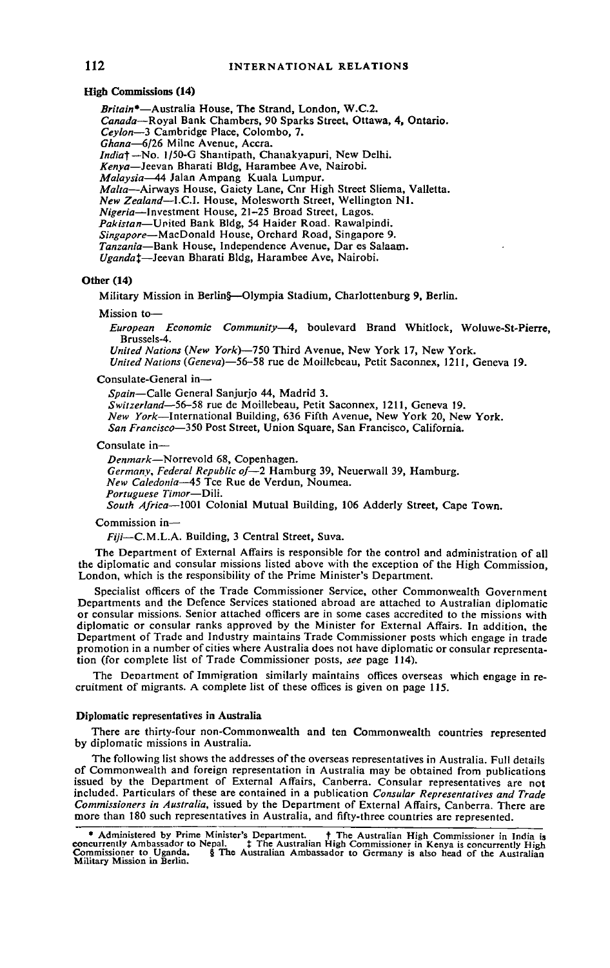### **High** Commissions (14)

*Britain\*—*Australia House, The Strand, London, W.C.2. *Canada*—Royal Bank Chambers, 90 Sparks Street, Ottawa, 4, Ontario. *Ceylon*—3 Cambridge Place, Colombo, 7. Ghana—6/26 Milne Avenue, Accra.<br>*India†* —No. 1/50-G Shantipath, Chanakyapuri, New Delhi. *Kenya*—Jeevan Bharati Bldg, Harambee Ave, Nairobi. *Malaysia*—44 Jalan Ampang Kuala Lumpur. *Malta*—Airways House, Gaiety Lane, Cnr High Street Sliema, Valletta. *New Zealand*—I.C.I. House, Molesworth Street, Wellington Ml. *Nigeria*—Investment House, 21-25 Broad Street, Lagos. *Pakistan*—United Bank Bldg, 54 Haider Road. Rawalpindi. *Singapore*—MacDonald House, Orchard Road, Singapore 9. *Tanzania*—Bank House, Independence Avenue, Dar es Salaam. *Uganda^*—Jeevan Bharati Bldg, Harambee Ave, Nairobi.

# Other (14)

Military Mission in Berlin§—Olympia Stadium, Charlottenburg 9, Berlin.

### Mission to—

*European Economic Community*—4, boulevard Brand Whitlock, Woluwe-St-Pierre, Brussels-4.

*United Nations (New York)—750* Third Avenue, New York 17, New York. *United Nations (Geneva)*—56-58 rue de Moillebeau, Petit Saconnex, 1211, Geneva 19.

Consulate-General in-

*Spain*—Calle General Sanjurjo 44, Madrid 3.

*Switzerland*—56-58 rue de Moillebeau, Petit Saconnex, 1211, Geneva 19. *New York*—International Building, 636 Fifth Avenue, New York 20, New York. *San Francisco*—350 Post Street, Union Square, San Francisco, California.

#### Consulate in—

*Denmark*—Norrevold 68, Copenhagen. *Germany, Federal Republic of—2* Hamburg 39, Neuerwall 39, Hamburg. *New Caledonia*—45 Tee Rue de Verdun, Noumea. *Portuguese Timor*—Dili. *South Africa*—1001 Colonial Mutual Building, 106 Adderly Street, Cape Town.

#### Commission in—

*Fiji—* C.M.L.A. Building, 3 Central Street, Suva.

The Department of External Affairs is responsible for the control and administration of all the diplomatic and consular missions listed above with the exception of the High Commission, London, which is the responsibility of the Prime Minister's Department.

Specialist officers of the Trade Commissioner Service, other Commonwealth Government Departments and the Defence Services stationed abroad are attached to Australian diplomatic or consular missions. Senior attached officers are in some cases accredited to the missions with diplomatic or consular ranks approved by the Minister for External Affairs. In addition, the Department of Trade and Industry maintains Trade Commissioner posts which engage in trade promotion in a number of cities where Australia does not have diplomatic or consular representation (for complete list of Trade Commissioner posts, *see* page 114).

The Deoartment of Immigration similarly maintains offices overseas which engage in recruitment of migrants. A complete list of these offices is given on page 115.

#### Diplomatic representatives in Australia

There are thirty-four non-Commonwealth and ten Commonwealth countries represented by diplomatic missions in Australia.

The following list shows the addresses of the overseas representatives in Australia. Full details of Commonwealth and foreign representation in Australia may be obtained from publications issued by the Department of External Affairs, Canberra. Consular representatives are not included. Particulars of these are contained in a publication *Consular Representatives and Trade Commissioners in Australia,* issued by the Department of External Affairs, Canberra. There are more than 180 such representatives in Australia, and fifty-three countries are represented.

Administered by Prime Minister's Department. † The Australian High Commissioner in India is<br>Concurrently Ambassador to Nepal. • ‡ The Australian High Commissioner in Kenya is concurrently High<br>Commissioner to Uganda. § The Military Mission in Berlin.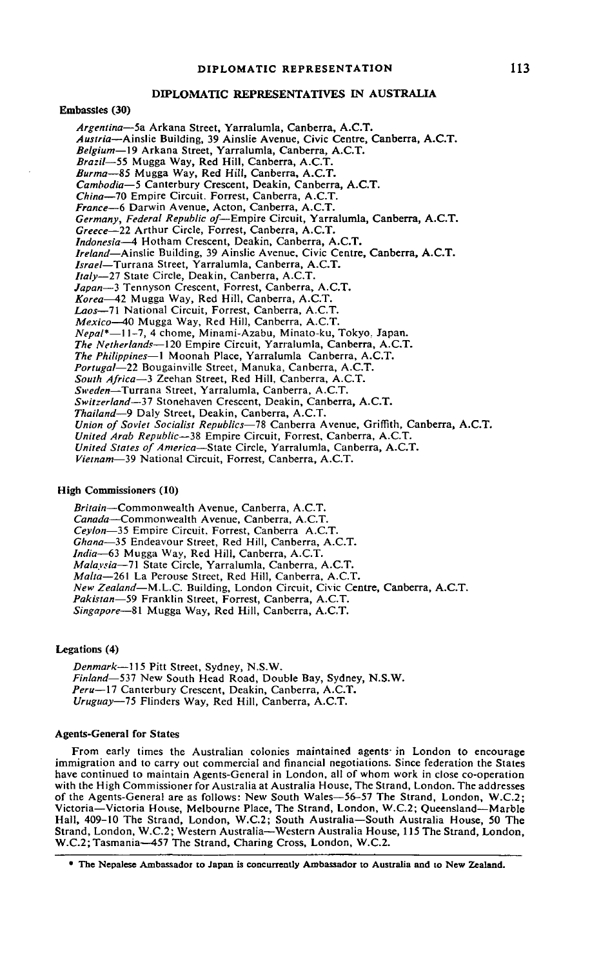# **DIPLOMATIC REPRESENTATIVES IN AUSTRALIA**

### **Embassies (30)**

*Argentina*—5a Arkana Street, Yarralumla, Canberra, A.C.T. *Austria*—Ainslie Building, 39 Ainslie Avenue, Civic Centre, Canberra, A.C.T. *Belgium*—19 Arkana Street, Yarralumla, Canberra, A.C.T. *Brazil—55* Mugga Way, Red Hill, Canberra, A.C.T. *Burma—*85 Mugga Way, Red Hill, Canberra, A.C.T. *Cambodia*—5 Canterbury Crescent, Deakin, Canberra, A.C.T. *China*—70 Empire Circuit. Forrest, Canberra, A.C.T. *France*—6 Darwin Avenue, Acton, Canberra, A.C.T. *Germany, Federal Republic of—* Empire Circuit, Yarralumla, Canberra, A.C.T. *Greece*—22 Arthur Circle, Forrest, Canberra, A.C.T. *Indonesia*—4 Hotham Crescent, Deakin, Canberra, A.C.T. *Ireland*—Ainslie Building, 39 Ainslie Avenue, Civic Centre, Canberra, A.C.T. *Israel*—Turrana Street, Yarralumla, Canberra, A.C.T. *Italy—Tl* State Circle, Deakin, Canberra, A.C.T. *Japan*—3 Tennyson Crescent, Forrest, Canberra, A.C.T. *Korea*—42 Mugga Way, Red Hill, Canberra, A.C.T. Laos-71 National Circuit, Forrest, Canberra, A.C. *Mexico*—40 Mugga Way, Red Hill, Canberra, A.C.T. *Nepal\**—11-7, 4 chome, Minami-Azabu, Minato-ku, Tokyo. Japan. *The Netherlands*—120 Empire Circuit, Yarralumla, Canberra, A.C.T. *The Philippines*—1 Moonah Place, Yarralumla Canberra, A.C.T. *Portugal*—22 Bougainville Street, Manuka, Canberra, A.C.T. *South Africa—*3 Zeehan Street, Red Hill, Canberra, A.C.T. *Sweden*—Turrana Street, Yarralumla, Canberra, A.C.T. *Switzerland*—37 Stonehaven Crescent, Deakin, Canberra, A.C.T. *Thailand—9* Daly Street, Deakin, Canberra, A.C.T. *Union of Soviet Socialist Republics*—78 Canberra Avenue, Griffith, Canberra, A.C.T. *United Arab Republic*—38 Empire Circuit, Forrest, Canberra, A.C.T. *United States of America*—State Circle, Yarralumla, Canberra, A.C.T. *Vietnam*—39 National Circuit, Forrest, Canberra, A.C.T.

### **High Commissioners (10)**

*Britain*—Commonwealth Avenue, Canberra, A.C.T. *Canada*—Commonwealth Avenue, Canberra, A.C.T. *Ceylon*—35 Empire Circuit. Forrest, Canberra A.C.T. *Ghana*—35 Endeavour Street, Red Hill, Canberra, A.C.T. *India—*63 Mugga Way, Red Hill, Canberra, A.C.T. *Malaysia*—71 State Circle, Yarralumla, Canberra, A.C.T. *Malta—*261 La Perouse Street, Red Hill, Canberra, A.C.T. *New Zealand*—M.L.C. Building, London Circuit, Civic Centre, Canberra, A.C.T. *Pakistan*—59 Franklin Street, Forrest, Canberra, A.C.T. *Singapore*—81 Mugga Way, Red Hill, Canberra, A.C.T.

# **Legations (4)**

*Denmark—*115 Pitt Street, Sydney, N.S.W. *Finland—*537 New South Head Road, Double Bay, Sydney, N.S.W. Peru-17 Canterbury Crescent, Deakin, Canberra, A.C.T. *Uruguay—15* Flinders Way, Red Hill, Canberra, A.C.T.

### **Agents-General for States**

From early times the Australian colonies maintained agents' in London to encourage immigration and to carry out commercial and financial negotiations. Since federation the States have continued to maintain Agents-General in London, all of whom work in close co-operation with the High Commissioner for Australia at Australia House, The Strand, London. The addresses of the Agents-Genera! are as follows: New South Wales—56-57 The Strand, London, W.C.2; Victoria—Victoria House, Melbourne Place, The Strand, London, W.C.2; Queensland—Marble Hall, 409-10 The Strand, London, W.C.2; South Australia—South Australia House, 50 The Strand, London, W.C.2; Western Australia—Western Australia House, 115 The Strand, London, W.C.2;Tasmania—457 The Strand, Charing Cross, London, W.C.2.

**<sup>•</sup> The Nepalese Ambassador to Japan is concurrently Ambassador to Australia and to New Zealand.**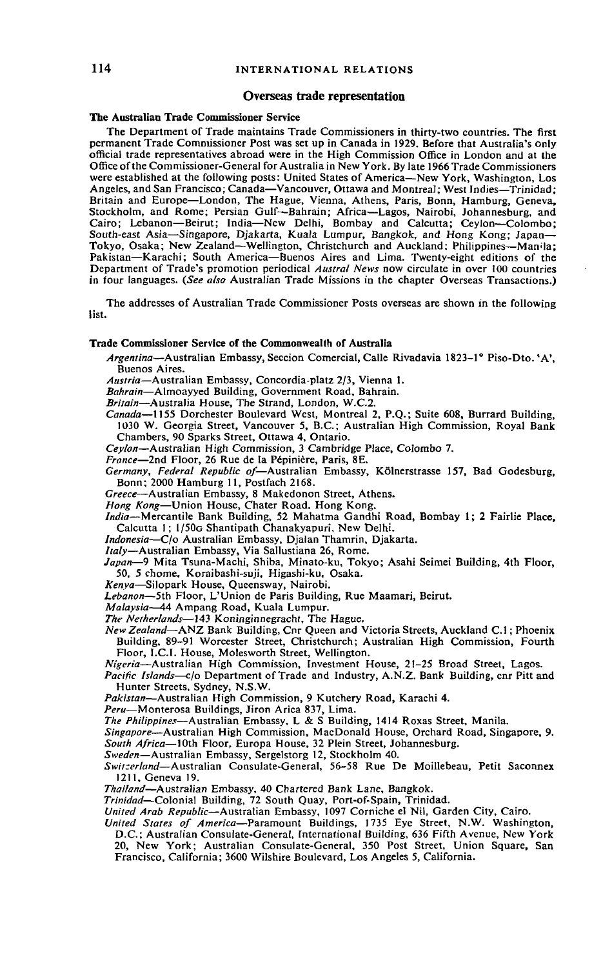#### **Overseas trade representation**

#### **The Australian Trade Commissioner Service**

The Department of Trade maintains Trade Commissioners in thirty-two countries. The first permanent Trade Commissioner Post was set up in Canada in 1929. Before that Australia's only official trade representatives abroad were in the High Commission Office in London and at the Office of the Commissioner-General for Australia in New York. By late 1966 Trade Commissioners were established at the following posts: United States of America—New York, Washington, Los Angeles, and San Francisco; Canada—Vancouver, Ottawa and Montreal; West Indies—Trinidad; Britain and Europe—London, The Hague, Vienna, Athens, Paris, Bonn, Hamburg, Geneva, Stockholm, and Rome; Persian Gulf—Bahrain; Africa—Lagos, Nairobi, Johannesburg, and Cairo; Lebanon—Beirut; India—New Delhi, Bombay and Calcutta; Ceylon—Colombo; South-east Asia—Singapore, Djakarta, Kuala Lumpur, Bangkok, and Hong Kong; Japan— Tokyo, Osaka; New Zealand—Wellington, Christchurch and Auckland: Philippines—Manila; Pakistan—Karachi; South America—Buenos Aires and Lima. Twenty-eight editions of the Department of Trade's promotion periodical *Austral News* now circulate in over 100 countries in four languages. *(See also* Australian Trade Missions in the chapter Overseas Transactions.)

The addresses of Australian Trade Commissioner Posts overseas are shown in the following list.

## **Trade Commissioner Service of the Commonwealth of Australia**

- *Argentina*—Australian Embassy, Seccion Comercial, Calle Rivadavia 1823-1° Piso-Dto.'A', Buenos Aires.
- *Austria*—Australian Embassy, Concordia-platz 2/3, Vienna 1.

*Bahrain*—Almoayyed Building, Government Road, Bahrain.

*Britain*—Australia House, The Strand, London, W.C.2.

*Canada—*1155 Dorchester Boulevard West, Montreal 2, P.Q.; Suite 608, Burrard Building, 1030 W. Georgia Street, Vancouver 5, B.C.; Australian High Commission, Royal Bank Chambers, 90 Sparks Street, Ottawa 4, Ontario.

*Ceylon*—Australian High Commission, 3 Cambridge Place, Colombo 7.

*France*—2nd Floor, 26 Rue de la Pepiniere, Paris, 8E.

*Germany, Federal Republic of*—Australian Embassy, Kolnerstrasse 157, Bad Godesburg, Bonn; 2000 Hamburg 11, Postfach 2168.

*Greece*—Australian Embassy, 8 Makedonon Street, Athens.

*Hong Kong*—Union House, Chater Road. Hong Kong.

*India*—Mercantile Bank Building, 52 Mahatma Gandhi Road, Bombay 1; 2 Fairlie Place, Calcutta 1; l/50o Shantipath Chanakyapuri, New Delhi.

*Indonesia*—C/o Australian Embassy, Djalan Thamrin, Djakarta.

*Italy*—Australian Embassy, Via Sallustiana 26, Rome.

*Japan*—9 Mita Tsuna-Machi, Shiba, Minato-ku, Tokyo; Asahi Seimei Building, 4th Floor, 50, 5 chome, Koraibashi-suji, Higashi-ku, Osaka.

*Kenya*—Silopark House, Queensway, Nairobi.

*Lebanon*—5th Floor, L'Union de Paris Building, Rue Maamari, Beirut.

*Malaysia*—44 Ampang Road, Kuala Lumpur.

*The Netherlands*—143 Koninginnegracht, The Hague. *New Zealand*—ANZ Bank Building, Cnr Queen and Victoria Streets, Auckland C.I; Phoenix Building, 89-91 Worcester Street, Christchurch; Australian High Commission, Fourth Floor, I.C.I. House, Molesworth Street, Wellington.

*Nigeria*—Australian High Commission, Investment House, 21-25 Broad Street, Lagos.

*Pacific Islands*—c/o Department of Trade and Industry, A.N.Z. Bank Building, cnr Pitt and Hunter Streets, Sydney, N.S.W.

*Pakistan*—Australian High Commission, 9 Kutchery Road, Karachi 4.

*Peru*—Monterosa Buildings, Jiron Arica 837, Lima.

*The Philippines*—Australian Embassy, L & S Building, 1414 Roxas Street, Manila.

*Singapore—*Australian High Commission, MacDonald House, Orchard Road, Singapore, 9.

*South Africa*—10th Floor, Europa House, 32 Plein Street, Johannesburg.

*Sweden*—Australian Embassy, Sergelstorg 12, Stockholm 40.

*Swit:erland*—Australian Consulate-General, 56-58 Rue De Moillebeau, Petit Saconnex 1211, Geneva 19.

*Thai/and*—Australian Embassy. 40 Chartered Bank Lane, Bangkok.

*Trinidad*—Colonial Building, 72 South Quay, Port-of-Spain, Trinidad.

*United Arab Republic*—Australian Embassy, 1097 Corniche el Nil, Garden City, Cairo.

*United States of America*—Paramount Buildings, 1735 Eye Street, N.W. Washington,

D.C.; Australian Consulate-General, International Building, 636 Fifth Avenue, New York 20, New York; Australian Consulate-General, 350 Post Street, Union Square, San Francisco, California; 3600 Wilshire Boulevard, Los Angeles 5, California.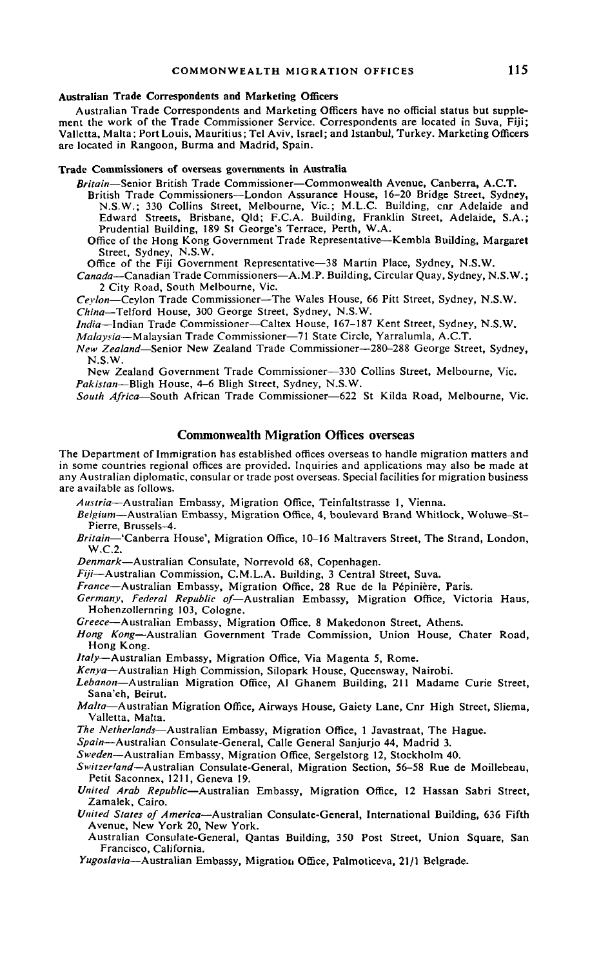#### **Australian Trade Correspondents and Marketing Officers**

Australian Trade Correspondents and Marketing Officers have no official status but supplement the work of the Trade Commissioner Service. Correspondents are located in Suva, Fiji; Valletta, Malta; Port Louis, Mauritius; Tel Aviv, Israel; and Istanbul, Turkey. Marketing Officers are located in Rangoon, Burma and Madrid, Spain.

### **Trade Commissioners of overseas governments in Australia**

*Britain*—Senior British Trade Commissioner—Commonwealth Avenue, Canberra, A.C.T.

British Trade Commissioners—London Assurance House, 16-20 Bridge Street, Sydney, N.S.W.; 330 Collins Street, Melbourne, Vic.; M.L.C. Building, cnr Adelaide and Edward Streets, Brisbane, Qld; F.C.A. Building, Franklin Street, Adelaide, S.A.; Prudential Building, 189 St George's Terrace, Perth, W.A.

Office of the Hong Kong Government Trade Representative—Kembla Building, Margaret Street, Sydney, N.S.W.

Office of the Fiji Government Representative—38 Martin Place, Sydney, N.S.W.

*Canada*—Canadian Trade Commissioners—A.M.P. Building, Circular Quay, Sydney, N.S.W.; 2 City Road, South Melbourne, Vic.

*Ceylon—*Ceylon Trade Commissioner—The Wales House, 66 Pitt Street, Sydney, N.S.W. *China—*Telford House, 300 George Street, Sydney, N.S.W.

*India—*Indian Trade Commissioner—Caltex House, 167-187 Kent Street, Sydney, N.S.W.

*Malaysia*—Malaysian Trade Commissioner—71 State Circle, Yarralumla, A.C.T.

*New Zealand*—Senior New Zealand Trade Commissioner—280-288 George Street, Sydney, N.S.W.

New Zealand Government Trade Commissioner—330 Collins Street, Melbourne, Vic. *Pakistan—*Bligh House, 4-6 Bligh Street, Sydney, N.S.W.

*South Africa*—South African Trade Commissioner—622 St Kilda Road, Melbourne, Vic.

# **Commonwealth Migration Offices overseas**

The Department of Immigration has established offices overseas to handle migration matters and in some countries regional offices are provided. Inquiries and applications may also be made at any Australian diplomatic, consular or trade post overseas. Special facilities for migration business are available as follows.

*Austria*—Australian Embassy, Migration Office, Teinfaltstrasse 1, Vienna.

- *Belgium*—Australian Embassy, Migration Office, 4, boulevard Brand Whitlock, Woluwe-St-Pierre, Brussels-4.
- *Britain*—'Canberra House', Migration Office, 10-16 Maltravers Street, The Strand, London, W.C.2.

*Denmark*—Australian Consulate, Norrevold 68, Copenhagen.

*Fiji*—Australian Commission, C.M.L.A. Building, 3 Central Street, Suva.

*France*—Australian Embassy, Migration Office, 28 Rue de la P6piniere, Paris.

Germany, Federal Republic of-Australian Embassy, Migration Office, Victoria Haus, Hohenzollernring 103, Cologne.

*Greece*—Australian Embassy, Migration Office, 8 Makedonon Street, Athens.

*Hong Kong*—Australian Government Trade Commission, Union House, Chater Road, Hong Kong.

*Italy*—Australian Embassy, Migration Office, Via Magenta 5, Rome.

*Kenya*—Australian High Commission, Silopark House, Queensway, Nairobi.

*Lebanon*—Australian Migration Office, Al Ghanem Building, 211 Madame Curie Street, Sana'eh, Beirut.

*Malta*—Australian Migration Office, Airways House, Gaiety Lane, Cnr High Street, Sliema, Valletta, Malta.

*The Netherlands*—Australian Embassy, Migration Office, 1 Javastraat, The Hague.

*Spain*—Australian Consulate-General, Calle General Sanjurjo 44, Madrid 3.

*Sweden*—Australian Embassy, Migration Office, Sergelstorg 12, Stockholm 40.

- *Switzerland—*Australian Consulate-General, Migration Section, 56-58 Rue de Moillebeau, Petit Saconnex, 1211, Geneva 19.
- *United Arab Republic*—Australian Embassy, Migration Office, 12 Hassan Sabri Street, Zamalek, Cairo.
- *United States of America*—Australian Consulate-General, International Building, 636 Fifth Avenue, New York 20, New York.

Australian Consulate-General, Qantas Building, 350 Post Street, Union Square, San Francisco, California.

*Yugoslavia*—Australian Embassy, Migration Office, Palmoticeva, 21/1 Belgrade.